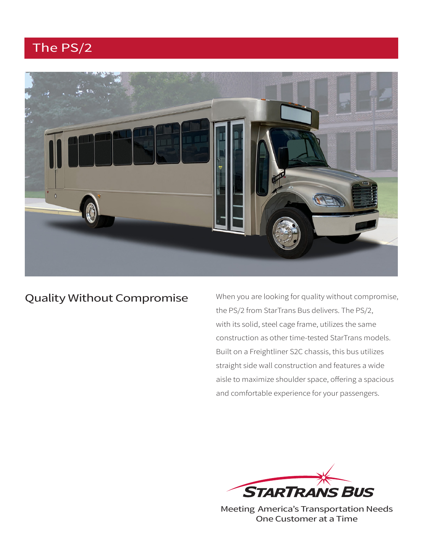# The PS/2



## Quality Without Compromise

When you are looking for quality without compromise, the PS/2 from StarTrans Bus delivers. The PS/2, with its solid, steel cage frame, utilizes the same construction as other time-tested StarTrans models. Built on a Freightliner S2C chassis, this bus utilizes straight side wall construction and features a wide aisle to maximize shoulder space, offering a spacious and comfortable experience for your passengers.



Meeting America's Transportation Needs One Customer at a Time